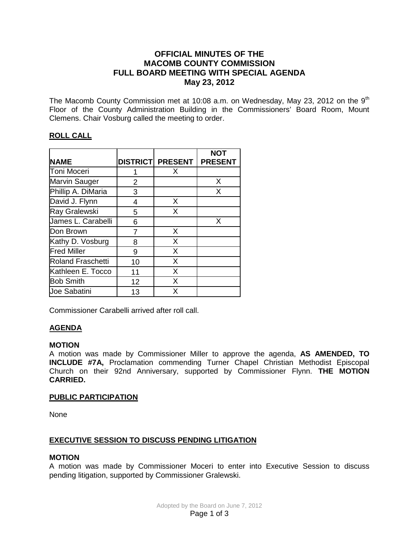# **OFFICIAL MINUTES OF THE MACOMB COUNTY COMMISSION FULL BOARD MEETING WITH SPECIAL AGENDA May 23, 2012**

The Macomb County Commission met at 10:08 a.m. on Wednesday, May 23, 2012 on the 9<sup>th</sup> Floor of the County Administration Building in the Commissioners' Board Room, Mount Clemens. Chair Vosburg called the meeting to order.

# **ROLL CALL**

|                          |    |                         | <b>NOT</b>     |
|--------------------------|----|-------------------------|----------------|
| <b>NAME</b>              |    | <b>DISTRICT PRESENT</b> | <b>PRESENT</b> |
| Toni Moceri              |    | X                       |                |
| Marvin Sauger            | 2  |                         | X              |
| Phillip A. DiMaria       | 3  |                         | X              |
| David J. Flynn           | 4  | X                       |                |
| Ray Gralewski            | 5  | X                       |                |
| James L. Carabelli       | 6  |                         | X              |
| Don Brown                |    | X                       |                |
| Kathy D. Vosburg         | 8  | X                       |                |
| <b>Fred Miller</b>       | 9  | X                       |                |
| <b>Roland Fraschetti</b> | 10 | X                       |                |
| Kathleen E. Tocco        | 11 | X                       |                |
| <b>Bob Smith</b>         | 12 | X                       |                |
| <b>Joe Sabatini</b>      | 13 | X                       |                |

Commissioner Carabelli arrived after roll call.

# **AGENDA**

#### **MOTION**

A motion was made by Commissioner Miller to approve the agenda, **AS AMENDED, TO INCLUDE #7A,** Proclamation commending Turner Chapel Christian Methodist Episcopal Church on their 92nd Anniversary, supported by Commissioner Flynn. **THE MOTION CARRIED.** 

### **PUBLIC PARTICIPATION**

None

### **EXECUTIVE SESSION TO DISCUSS PENDING LITIGATION**

### **MOTION**

A motion was made by Commissioner Moceri to enter into Executive Session to discuss pending litigation, supported by Commissioner Gralewski.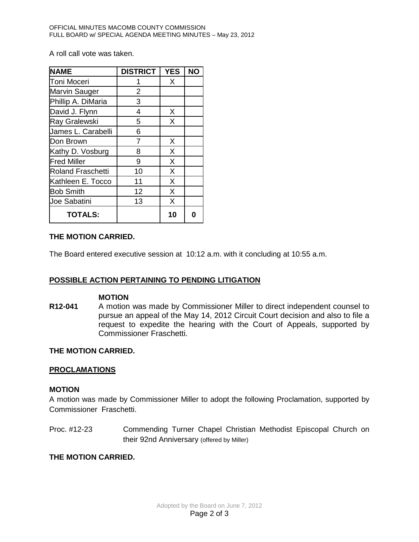A roll call vote was taken.

| <b>NAME</b>              | <b>DISTRICT</b> | <b>YES</b> | <b>NO</b> |
|--------------------------|-----------------|------------|-----------|
| Toni Moceri              |                 | X          |           |
| Marvin Sauger            | $\overline{2}$  |            |           |
| Phillip A. DiMaria       | 3               |            |           |
| David J. Flynn           | 4               | X          |           |
| <b>Ray Gralewski</b>     | 5               | X          |           |
| James L. Carabelli       | 6               |            |           |
| Don Brown                | 7               | X          |           |
| Kathy D. Vosburg         | 8               | X          |           |
| <b>Fred Miller</b>       | 9               | X          |           |
| <b>Roland Fraschetti</b> | 10              | X          |           |
| Kathleen E. Tocco        | 11              | X          |           |
| <b>Bob Smith</b>         | 12              | X          |           |
| Joe Sabatini             | 13              | X          |           |
| <b>TOTALS:</b>           |                 | 10         |           |

### **THE MOTION CARRIED.**

The Board entered executive session at 10:12 a.m. with it concluding at 10:55 a.m.

### **POSSIBLE ACTION PERTAINING TO PENDING LITIGATION**

#### **MOTION**

**R12-041** A motion was made by Commissioner Miller to direct independent counsel to pursue an appeal of the May 14, 2012 Circuit Court decision and also to file a request to expedite the hearing with the Court of Appeals, supported by Commissioner Fraschetti.

#### **THE MOTION CARRIED.**

#### **PROCLAMATIONS**

#### **MOTION**

A motion was made by Commissioner Miller to adopt the following Proclamation, supported by Commissioner Fraschetti.

Proc. #12-23 Commending Turner Chapel Christian Methodist Episcopal Church on their 92nd Anniversary (offered by Miller)

### **THE MOTION CARRIED.**